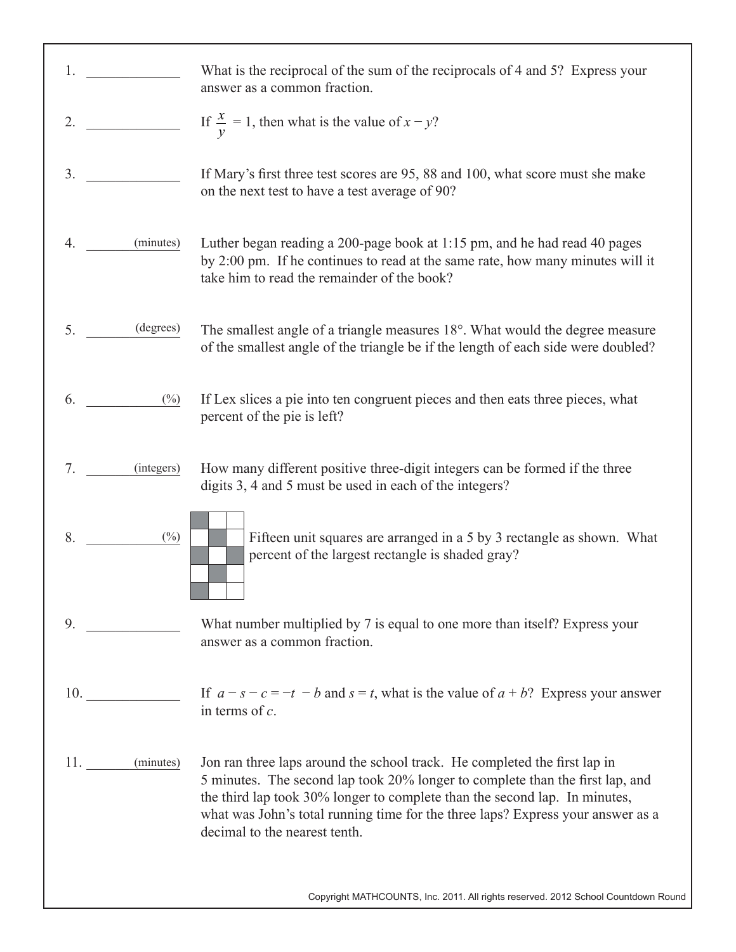| 1. |               | What is the reciprocal of the sum of the reciprocals of 4 and 5? Express your<br>answer as a common fraction.                                                                                                                                                                                                                                                |
|----|---------------|--------------------------------------------------------------------------------------------------------------------------------------------------------------------------------------------------------------------------------------------------------------------------------------------------------------------------------------------------------------|
| 2. |               | If $\frac{x}{y} = 1$ , then what is the value of $x - y$ ?                                                                                                                                                                                                                                                                                                   |
| 3. |               | If Mary's first three test scores are 95, 88 and 100, what score must she make<br>on the next test to have a test average of 90?                                                                                                                                                                                                                             |
| 4. | (minutes)     | Luther began reading a 200-page book at 1:15 pm, and he had read 40 pages<br>by 2:00 pm. If he continues to read at the same rate, how many minutes will it<br>take him to read the remainder of the book?                                                                                                                                                   |
| 5. | (degrees)     | The smallest angle of a triangle measures 18°. What would the degree measure<br>of the smallest angle of the triangle be if the length of each side were doubled?                                                                                                                                                                                            |
| 6. | $(\%)$        | If Lex slices a pie into ten congruent pieces and then eats three pieces, what<br>percent of the pie is left?                                                                                                                                                                                                                                                |
| 7. | (integers)    | How many different positive three-digit integers can be formed if the three<br>digits 3, 4 and 5 must be used in each of the integers?                                                                                                                                                                                                                       |
| 8. | $(\%)$        | Fifteen unit squares are arranged in a 5 by 3 rectangle as shown. What<br>percent of the largest rectangle is shaded gray?                                                                                                                                                                                                                                   |
| 9. |               | What number multiplied by 7 is equal to one more than itself? Express your<br>answer as a common fraction.                                                                                                                                                                                                                                                   |
|    | 10.           | If $a - s - c = -t - b$ and $s = t$ , what is the value of $a + b$ ? Express your answer<br>in terms of $c$ .                                                                                                                                                                                                                                                |
|    | 11. (minutes) | Jon ran three laps around the school track. He completed the first lap in<br>5 minutes. The second lap took 20% longer to complete than the first lap, and<br>the third lap took 30% longer to complete than the second lap. In minutes,<br>what was John's total running time for the three laps? Express your answer as a<br>decimal to the nearest tenth. |
|    |               | Copyright MATHCOUNTS, Inc. 2011. All rights reserved. 2012 School Countdown Round                                                                                                                                                                                                                                                                            |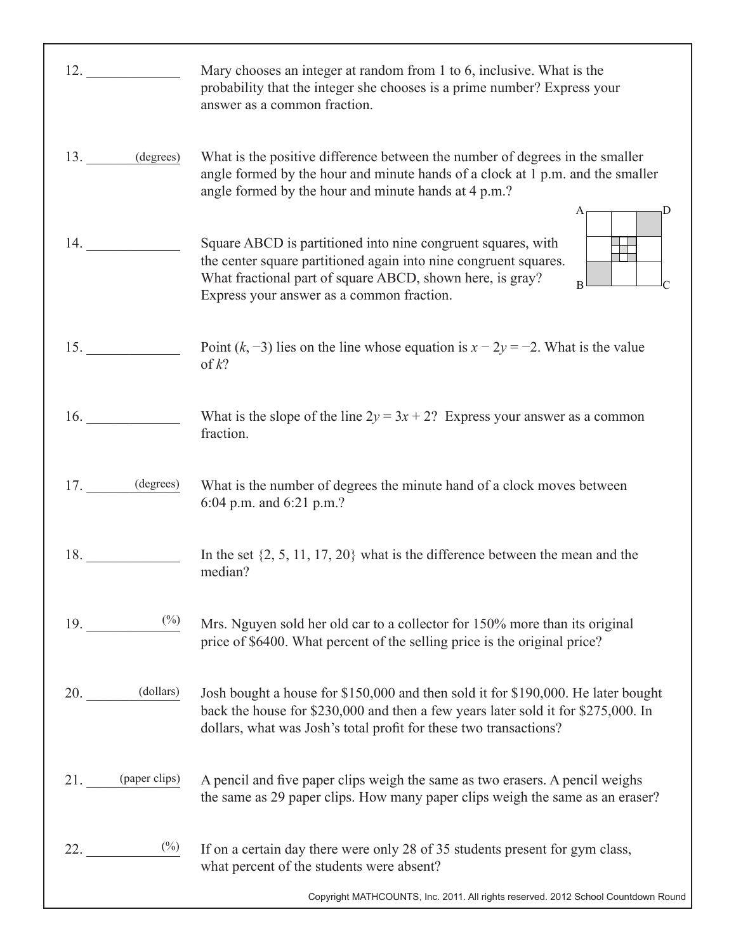| 12.                             | Mary chooses an integer at random from 1 to 6, inclusive. What is the<br>probability that the integer she chooses is a prime number? Express your<br>answer as a common fraction.                                                                      |
|---------------------------------|--------------------------------------------------------------------------------------------------------------------------------------------------------------------------------------------------------------------------------------------------------|
| 13. (degrees)                   | What is the positive difference between the number of degrees in the smaller<br>angle formed by the hour and minute hands of a clock at 1 p.m. and the smaller<br>angle formed by the hour and minute hands at 4 p.m.?<br>D                            |
| 14.                             | Square ABCD is partitioned into nine congruent squares, with<br>the center square partitioned again into nine congruent squares.<br>What fractional part of square ABCD, shown here, is gray?<br>$\bf{B}$<br>Express your answer as a common fraction. |
| 15.                             | Point $(k, -3)$ lies on the line whose equation is $x - 2y = -2$ . What is the value<br>of $k$ ?                                                                                                                                                       |
| 16.                             | What is the slope of the line $2y = 3x + 2$ ? Express your answer as a common<br>fraction.                                                                                                                                                             |
| 17. (degrees)                   | What is the number of degrees the minute hand of a clock moves between<br>6:04 p.m. and 6:21 p.m.?                                                                                                                                                     |
| 18.                             | In the set $\{2, 5, 11, 17, 20\}$ what is the difference between the mean and the<br>median?                                                                                                                                                           |
| $19.$ (%)                       | Mrs. Nguyen sold her old car to a collector for 150% more than its original<br>price of \$6400. What percent of the selling price is the original price?                                                                                               |
| $20.$ (dollars)                 | Josh bought a house for \$150,000 and then sold it for \$190,000. He later bought<br>back the house for \$230,000 and then a few years later sold it for \$275,000. In<br>dollars, what was Josh's total profit for these two transactions?            |
| 21. (paper clips)               | A pencil and five paper clips weigh the same as two erasers. A pencil weighs<br>the same as 29 paper clips. How many paper clips weigh the same as an eraser?                                                                                          |
| $\frac{\binom{0}{0}}{1}$<br>22. | If on a certain day there were only 28 of 35 students present for gym class,<br>what percent of the students were absent?                                                                                                                              |
|                                 | Copyright MATHCOUNTS, Inc. 2011. All rights reserved. 2012 School Countdown Round                                                                                                                                                                      |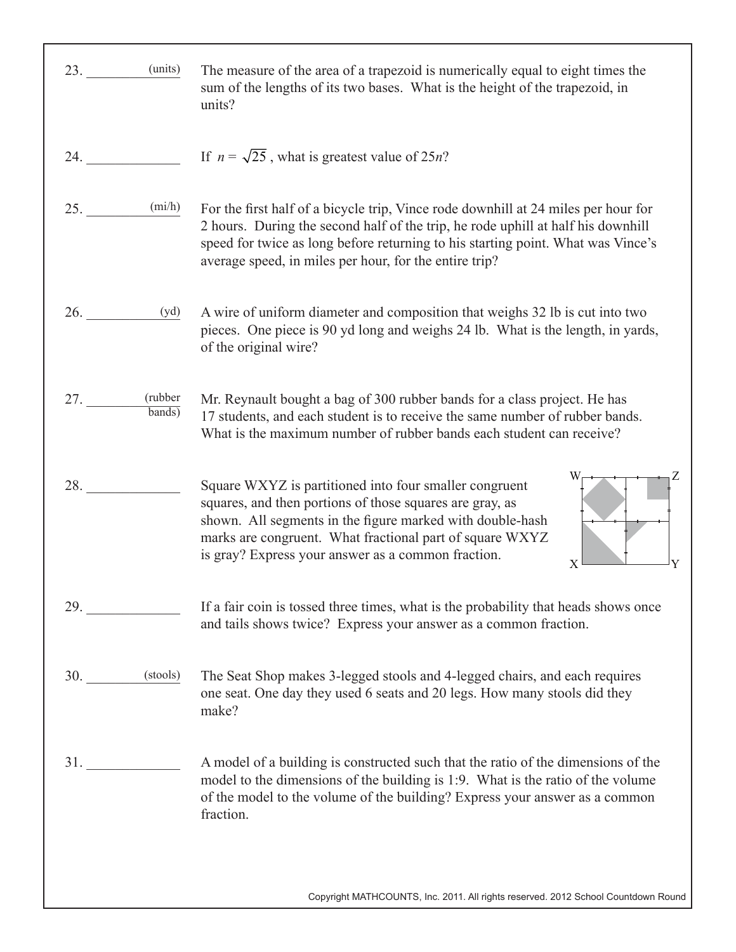| (units)<br>23.           | The measure of the area of a trapezoid is numerically equal to eight times the<br>sum of the lengths of its two bases. What is the height of the trapezoid, in<br>units?                                                                                                                                             |
|--------------------------|----------------------------------------------------------------------------------------------------------------------------------------------------------------------------------------------------------------------------------------------------------------------------------------------------------------------|
| 24.                      | If $n = \sqrt{25}$ , what is greatest value of 25 <i>n</i> ?                                                                                                                                                                                                                                                         |
| (mi/h)<br>25.            | For the first half of a bicycle trip, Vince rode downhill at 24 miles per hour for<br>2 hours. During the second half of the trip, he rode uphill at half his downhill<br>speed for twice as long before returning to his starting point. What was Vince's<br>average speed, in miles per hour, for the entire trip? |
| 26.<br>(yd)              | A wire of uniform diameter and composition that weighs 32 lb is cut into two<br>pieces. One piece is 90 yd long and weighs 24 lb. What is the length, in yards,<br>of the original wire?                                                                                                                             |
| (rubber<br>27.<br>bands) | Mr. Reynault bought a bag of 300 rubber bands for a class project. He has<br>17 students, and each student is to receive the same number of rubber bands.<br>What is the maximum number of rubber bands each student can receive?                                                                                    |
| 28.                      | Square WXYZ is partitioned into four smaller congruent<br>squares, and then portions of those squares are gray, as<br>shown. All segments in the figure marked with double-hash<br>marks are congruent. What fractional part of square WXYZ<br>is gray? Express your answer as a common fraction.<br>X               |
| 29.                      | If a fair coin is tossed three times, what is the probability that heads shows once<br>and tails shows twice? Express your answer as a common fraction.                                                                                                                                                              |
| 30. (stools)             | The Seat Shop makes 3-legged stools and 4-legged chairs, and each requires<br>one seat. One day they used 6 seats and 20 legs. How many stools did they<br>make?                                                                                                                                                     |
| 31.                      | A model of a building is constructed such that the ratio of the dimensions of the<br>model to the dimensions of the building is 1:9. What is the ratio of the volume<br>of the model to the volume of the building? Express your answer as a common<br>fraction.                                                     |

Copyright MATHCOUNTS, Inc. 2011. All rights reserved. 2012 School Countdown Round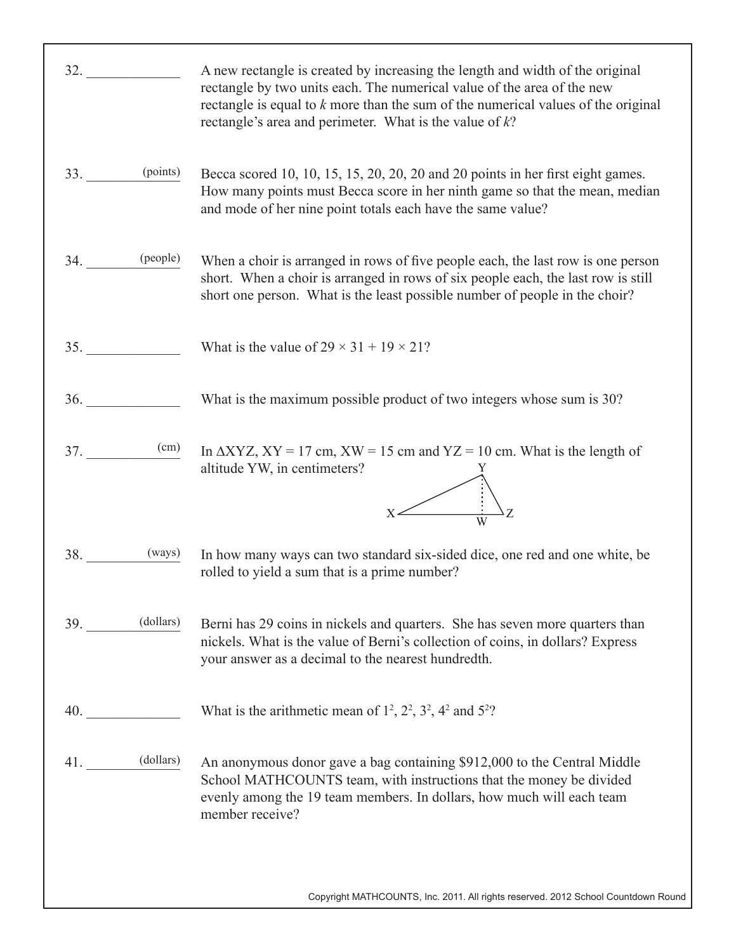| 32.                                                                                                                                                                                                                                | A new rectangle is created by increasing the length and width of the original<br>rectangle by two units each. The numerical value of the area of the new<br>rectangle is equal to $k$ more than the sum of the numerical values of the original<br>rectangle's area and perimeter. What is the value of $k$ ? |
|------------------------------------------------------------------------------------------------------------------------------------------------------------------------------------------------------------------------------------|---------------------------------------------------------------------------------------------------------------------------------------------------------------------------------------------------------------------------------------------------------------------------------------------------------------|
| $33.$ (points)                                                                                                                                                                                                                     | Becca scored 10, 10, 15, 15, 20, 20, 20 and 20 points in her first eight games.<br>How many points must Becca score in her ninth game so that the mean, median<br>and mode of her nine point totals each have the same value?                                                                                 |
| $34.$ (people)                                                                                                                                                                                                                     | When a choir is arranged in rows of five people each, the last row is one person<br>short. When a choir is arranged in rows of six people each, the last row is still<br>short one person. What is the least possible number of people in the choir?                                                          |
| 35.                                                                                                                                                                                                                                | What is the value of $29 \times 31 + 19 \times 21$ ?                                                                                                                                                                                                                                                          |
| <b>36.</b> The same state of $\frac{1}{2}$                                                                                                                                                                                         | What is the maximum possible product of two integers whose sum is 30?                                                                                                                                                                                                                                         |
| $37.$ (cm)                                                                                                                                                                                                                         | In $\triangle XYZ$ , $XY = 17$ cm, $XW = 15$ cm and $YZ = 10$ cm. What is the length of<br>altitude YW, in centimeters?                                                                                                                                                                                       |
| $38.$ (ways)                                                                                                                                                                                                                       | In how many ways can two standard six-sided dice, one red and one white, be<br>rolled to yield a sum that is a prime number?                                                                                                                                                                                  |
| 39. (dollars)                                                                                                                                                                                                                      | Berni has 29 coins in nickels and quarters. She has seven more quarters than<br>nickels. What is the value of Berni's collection of coins, in dollars? Express<br>your answer as a decimal to the nearest hundredth.                                                                                          |
| <b>40.</b> The same state of the same state of the same state of the same state of the same state of the same state of the same state of the same state of the same state of the same state of the same state of the same state of | What is the arithmetic mean of $1^2$ , $2^2$ , $3^2$ , $4^2$ and $5^2$ ?                                                                                                                                                                                                                                      |
| $41.$ (dollars)                                                                                                                                                                                                                    | An anonymous donor gave a bag containing \$912,000 to the Central Middle<br>School MATHCOUNTS team, with instructions that the money be divided<br>evenly among the 19 team members. In dollars, how much will each team<br>member receive?                                                                   |
|                                                                                                                                                                                                                                    | Copyright MATHCOUNTS, Inc. 2011. All rights reserved. 2012 School Countdown Round                                                                                                                                                                                                                             |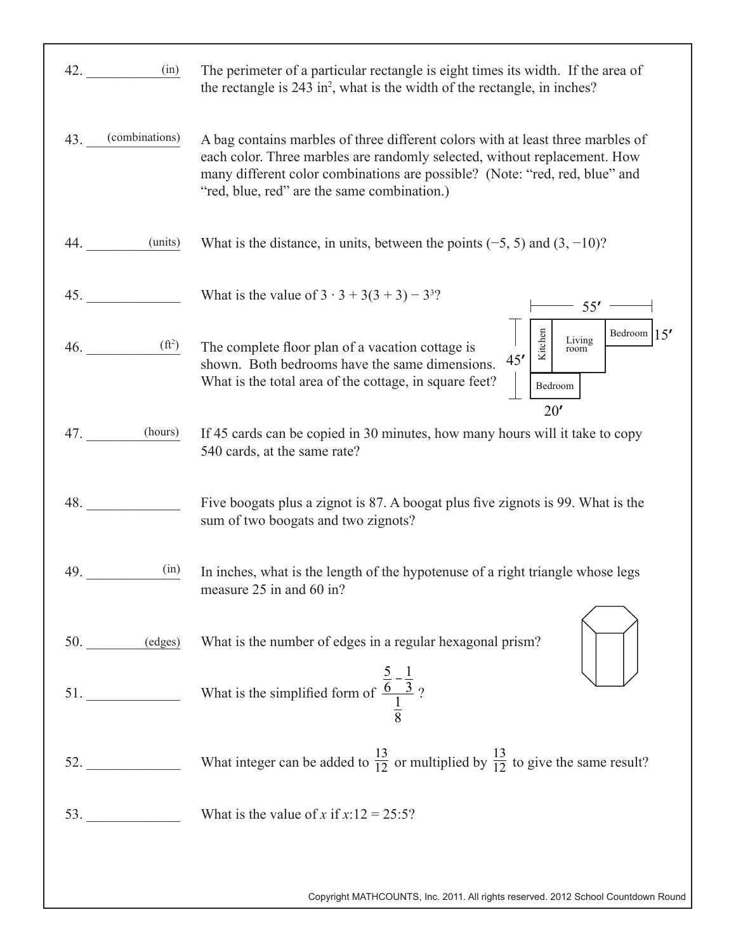| 42.<br>(in)           | The perimeter of a particular rectangle is eight times its width. If the area of<br>the rectangle is 243 in <sup>2</sup> , what is the width of the rectangle, in inches?                                                                                                                  |
|-----------------------|--------------------------------------------------------------------------------------------------------------------------------------------------------------------------------------------------------------------------------------------------------------------------------------------|
| (combinations)<br>43. | A bag contains marbles of three different colors with at least three marbles of<br>each color. Three marbles are randomly selected, without replacement. How<br>many different color combinations are possible? (Note: "red, red, blue" and<br>"red, blue, red" are the same combination.) |
| (units)<br>44.        | What is the distance, in units, between the points $(-5, 5)$ and $(3, -10)$ ?                                                                                                                                                                                                              |
| 45.                   | What is the value of $3 \cdot 3 + 3(3 + 3) - 3^{3}$ ?<br>55'                                                                                                                                                                                                                               |
| $(f{t}^2)$<br>46.     | Kitchen<br>Bedroom $ 15'$<br>Living<br>room<br>The complete floor plan of a vacation cottage is<br>45'<br>shown. Both bedrooms have the same dimensions.<br>What is the total area of the cottage, in square feet?<br>Bedroom<br>20'                                                       |
| (hours)<br>47.        | If 45 cards can be copied in 30 minutes, how many hours will it take to copy<br>540 cards, at the same rate?                                                                                                                                                                               |
| 48.                   | Five boogats plus a zignot is 87. A boogat plus five zignots is 99. What is the<br>sum of two boogats and two zignots?                                                                                                                                                                     |
| (in)<br>49.           | In inches, what is the length of the hypotenuse of a right triangle whose legs<br>measure 25 in and 60 in?                                                                                                                                                                                 |
|                       | 50. (edges) What is the number of edges in a regular hexagonal prism?                                                                                                                                                                                                                      |
|                       | 51. What is the simplified form of $\frac{\frac{5}{6} - \frac{1}{3}}{\frac{1}{6}}$ ?                                                                                                                                                                                                       |
|                       | What integer can be added to $\frac{13}{12}$ or multiplied by $\frac{13}{12}$ to give the same result?                                                                                                                                                                                     |
| 53.                   | What is the value of x if $x:12 = 25:5$ ?                                                                                                                                                                                                                                                  |
|                       | Copyright MATHCOUNTS, Inc. 2011. All rights reserved. 2012 School Countdown Round                                                                                                                                                                                                          |